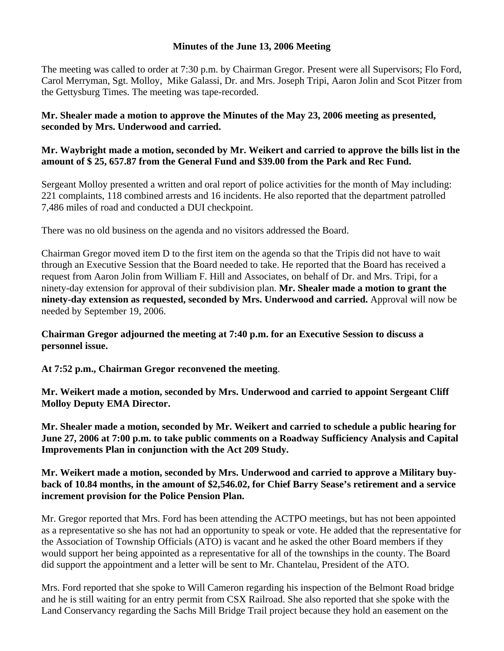## **Minutes of the June 13, 2006 Meeting**

The meeting was called to order at 7:30 p.m. by Chairman Gregor. Present were all Supervisors; Flo Ford, Carol Merryman, Sgt. Molloy, Mike Galassi, Dr. and Mrs. Joseph Tripi, Aaron Jolin and Scot Pitzer from the Gettysburg Times. The meeting was tape-recorded.

**Mr. Shealer made a motion to approve the Minutes of the May 23, 2006 meeting as presented, seconded by Mrs. Underwood and carried.** 

## **Mr. Waybright made a motion, seconded by Mr. Weikert and carried to approve the bills list in the amount of \$ 25, 657.87 from the General Fund and \$39.00 from the Park and Rec Fund.**

Sergeant Molloy presented a written and oral report of police activities for the month of May including: 221 complaints, 118 combined arrests and 16 incidents. He also reported that the department patrolled 7,486 miles of road and conducted a DUI checkpoint.

There was no old business on the agenda and no visitors addressed the Board.

Chairman Gregor moved item D to the first item on the agenda so that the Tripis did not have to wait through an Executive Session that the Board needed to take. He reported that the Board has received a request from Aaron Jolin from William F. Hill and Associates, on behalf of Dr. and Mrs. Tripi, for a ninety-day extension for approval of their subdivision plan. **Mr. Shealer made a motion to grant the ninety-day extension as requested, seconded by Mrs. Underwood and carried.** Approval will now be needed by September 19, 2006.

**Chairman Gregor adjourned the meeting at 7:40 p.m. for an Executive Session to discuss a personnel issue.** 

**At 7:52 p.m., Chairman Gregor reconvened the meeting**.

**Mr. Weikert made a motion, seconded by Mrs. Underwood and carried to appoint Sergeant Cliff Molloy Deputy EMA Director.** 

**Mr. Shealer made a motion, seconded by Mr. Weikert and carried to schedule a public hearing for June 27, 2006 at 7:00 p.m. to take public comments on a Roadway Sufficiency Analysis and Capital Improvements Plan in conjunction with the Act 209 Study.** 

**Mr. Weikert made a motion, seconded by Mrs. Underwood and carried to approve a Military buyback of 10.84 months, in the amount of \$2,546.02, for Chief Barry Sease's retirement and a service increment provision for the Police Pension Plan.** 

Mr. Gregor reported that Mrs. Ford has been attending the ACTPO meetings, but has not been appointed as a representative so she has not had an opportunity to speak or vote. He added that the representative for the Association of Township Officials (ATO) is vacant and he asked the other Board members if they would support her being appointed as a representative for all of the townships in the county. The Board did support the appointment and a letter will be sent to Mr. Chantelau, President of the ATO.

Mrs. Ford reported that she spoke to Will Cameron regarding his inspection of the Belmont Road bridge and he is still waiting for an entry permit from CSX Railroad. She also reported that she spoke with the Land Conservancy regarding the Sachs Mill Bridge Trail project because they hold an easement on the